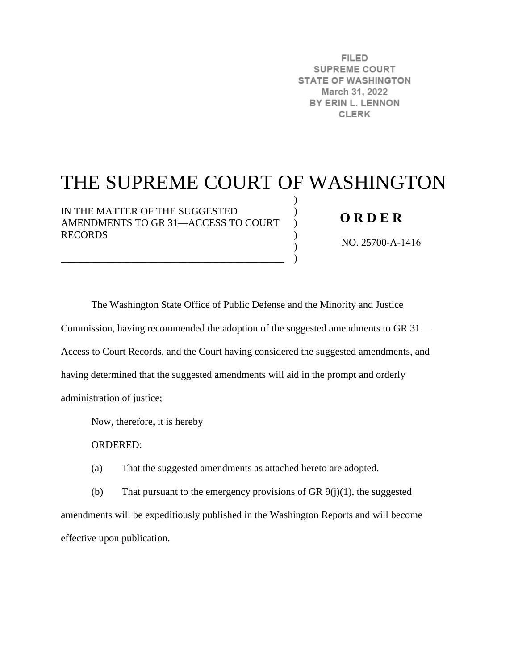**FILED SUPREME COURT STATE OF WASHINGTON** March 31, 2022 BY ERIN L. LENNON **CLERK** 

# THE SUPREME COURT OF WASHINGTON

) )  $\mathcal{L}$  $\mathcal{L}$ ) )

IN THE MATTER OF THE SUGGESTED AMENDMENTS TO GR 31—ACCESS TO COURT RECORDS

\_\_\_\_\_\_\_\_\_\_\_\_\_\_\_\_\_\_\_\_\_\_\_\_\_\_\_\_\_\_\_\_\_\_\_\_\_\_\_\_\_\_\_\_

# **O R D E R**

NO. 25700-A-1416

The Washington State Office of Public Defense and the Minority and Justice Commission, having recommended the adoption of the suggested amendments to GR 31— Access to Court Records, and the Court having considered the suggested amendments, and having determined that the suggested amendments will aid in the prompt and orderly administration of justice;

Now, therefore, it is hereby

ORDERED:

(a) That the suggested amendments as attached hereto are adopted.

(b) That pursuant to the emergency provisions of GR  $9(j)(1)$ , the suggested amendments will be expeditiously published in the Washington Reports and will become effective upon publication.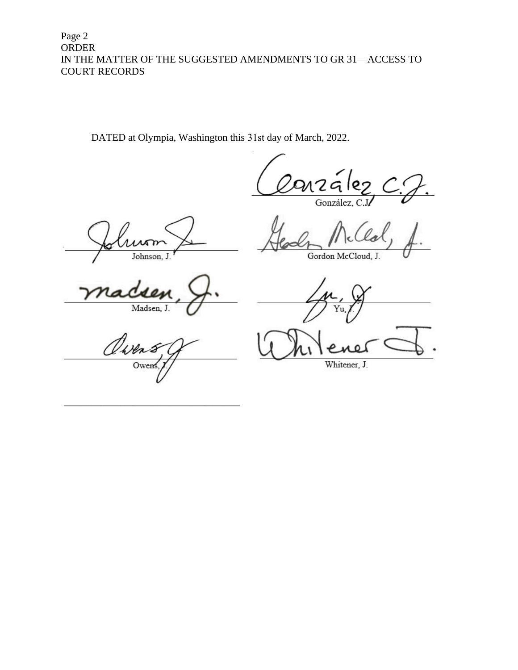Page 2 **ORDER** IN THE MATTER OF THE SUGGESTED AMENDMENTS TO GR 31-ACCESS TO **COURT RECORDS** 

DATED at Olympia, Washington this 31st day of March, 2022.

nzález<br><sup>González, C.J/</sup>

π Johnson, J.

Gordon McCloud, J.

Madsen, J.

Yu.

Owen

Whitener, J.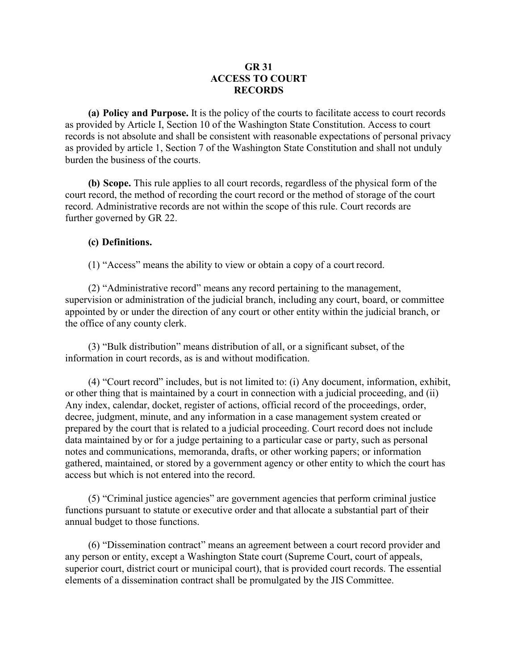# **GR 31 ACCESS TO COURT RECORDS**

**(a) Policy and Purpose.** It is the policy of the courts to facilitate access to court records as provided by Article I, Section 10 of the Washington State Constitution. Access to court records is not absolute and shall be consistent with reasonable expectations of personal privacy as provided by article 1, Section 7 of the Washington State Constitution and shall not unduly burden the business of the courts.

**(b) Scope.** This rule applies to all court records, regardless of the physical form of the court record, the method of recording the court record or the method of storage of the court record. Administrative records are not within the scope of this rule. Court records are further governed by GR 22.

#### **(c) Definitions.**

(1) "Access" means the ability to view or obtain a copy of a court record.

(2) "Administrative record" means any record pertaining to the management, supervision or administration of the judicial branch, including any court, board, or committee appointed by or under the direction of any court or other entity within the judicial branch, or the office of any county clerk.

(3) "Bulk distribution" means distribution of all, or a significant subset, of the information in court records, as is and without modification.

(4) "Court record" includes, but is not limited to: (i) Any document, information, exhibit, or other thing that is maintained by a court in connection with a judicial proceeding, and (ii) Any index, calendar, docket, register of actions, official record of the proceedings, order, decree, judgment, minute, and any information in a case management system created or prepared by the court that is related to a judicial proceeding. Court record does not include data maintained by or for a judge pertaining to a particular case or party, such as personal notes and communications, memoranda, drafts, or other working papers; or information gathered, maintained, or stored by a government agency or other entity to which the court has access but which is not entered into the record.

(5) "Criminal justice agencies" are government agencies that perform criminal justice functions pursuant to statute or executive order and that allocate a substantial part of their annual budget to those functions.

(6) "Dissemination contract" means an agreement between a court record provider and any person or entity, except a Washington State court (Supreme Court, court of appeals, superior court, district court or municipal court), that is provided court records. The essential elements of a dissemination contract shall be promulgated by the JIS Committee.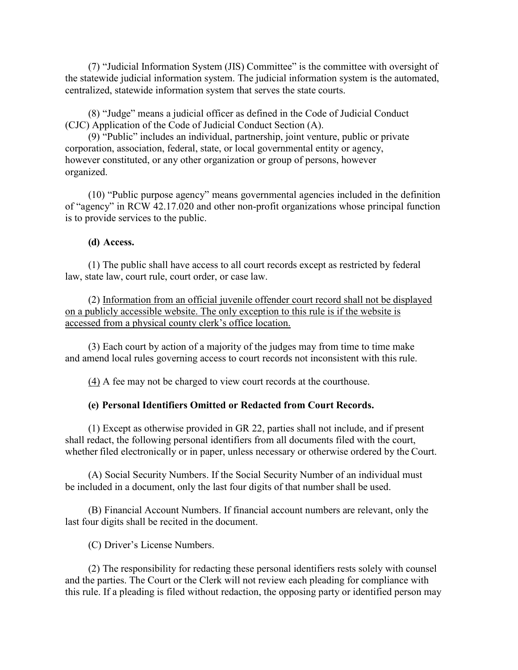(7) "Judicial Information System (JIS) Committee" is the committee with oversight of the statewide judicial information system. The judicial information system is the automated, centralized, statewide information system that serves the state courts.

(8) "Judge" means a judicial officer as defined in the Code of Judicial Conduct (CJC) Application of the Code of Judicial Conduct Section (A).

(9) "Public" includes an individual, partnership, joint venture, public or private corporation, association, federal, state, or local governmental entity or agency, however constituted, or any other organization or group of persons, however organized.

(10) "Public purpose agency" means governmental agencies included in the definition of "agency" in RCW 42.17.020 and other non-profit organizations whose principal function is to provide services to the public.

#### **(d) Access.**

(1) The public shall have access to all court records except as restricted by federal law, state law, court rule, court order, or case law.

(2) Information from an official juvenile offender court record shall not be displayed on a publicly accessible website. The only exception to this rule is if the website is accessed from a physical county clerk's office location.

(3) Each court by action of a majority of the judges may from time to time make and amend local rules governing access to court records not inconsistent with this rule.

(4) A fee may not be charged to view court records at the courthouse.

# **(e) Personal Identifiers Omitted or Redacted from Court Records.**

(1) Except as otherwise provided in GR 22, parties shall not include, and if present shall redact, the following personal identifiers from all documents filed with the court, whether filed electronically or in paper, unless necessary or otherwise ordered by the Court.

(A) Social Security Numbers. If the Social Security Number of an individual must be included in a document, only the last four digits of that number shall be used.

(B) Financial Account Numbers. If financial account numbers are relevant, only the last four digits shall be recited in the document.

(C) Driver's License Numbers.

(2) The responsibility for redacting these personal identifiers rests solely with counsel and the parties. The Court or the Clerk will not review each pleading for compliance with this rule. If a pleading is filed without redaction, the opposing party or identified person may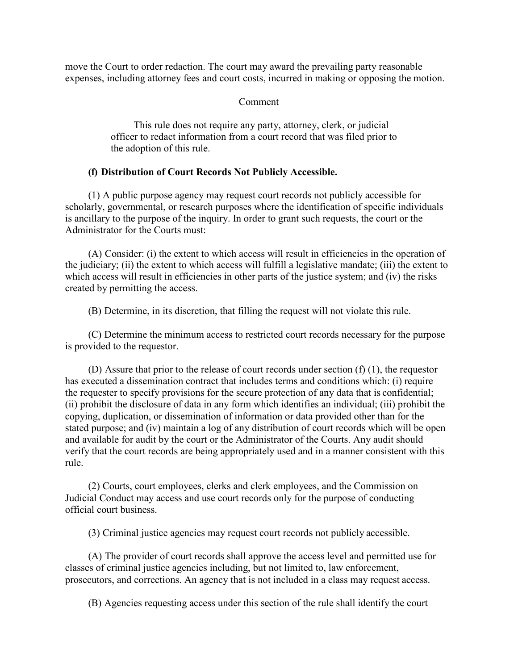move the Court to order redaction. The court may award the prevailing party reasonable expenses, including attorney fees and court costs, incurred in making or opposing the motion.

Comment

This rule does not require any party, attorney, clerk, or judicial officer to redact information from a court record that was filed prior to the adoption of this rule.

# **(f) Distribution of Court Records Not Publicly Accessible.**

(1) A public purpose agency may request court records not publicly accessible for scholarly, governmental, or research purposes where the identification of specific individuals is ancillary to the purpose of the inquiry. In order to grant such requests, the court or the Administrator for the Courts must:

(A) Consider: (i) the extent to which access will result in efficiencies in the operation of the judiciary; (ii) the extent to which access will fulfill a legislative mandate; (iii) the extent to which access will result in efficiencies in other parts of the justice system; and (iv) the risks created by permitting the access.

(B) Determine, in its discretion, that filling the request will not violate this rule.

(C) Determine the minimum access to restricted court records necessary for the purpose is provided to the requestor.

(D) Assure that prior to the release of court records under section (f) (1), the requestor has executed a dissemination contract that includes terms and conditions which: (i) require the requester to specify provisions for the secure protection of any data that is confidential; (ii) prohibit the disclosure of data in any form which identifies an individual; (iii) prohibit the copying, duplication, or dissemination of information or data provided other than for the stated purpose; and (iv) maintain a log of any distribution of court records which will be open and available for audit by the court or the Administrator of the Courts. Any audit should verify that the court records are being appropriately used and in a manner consistent with this rule.

(2) Courts, court employees, clerks and clerk employees, and the Commission on Judicial Conduct may access and use court records only for the purpose of conducting official court business.

(3) Criminal justice agencies may request court records not publicly accessible.

(A) The provider of court records shall approve the access level and permitted use for classes of criminal justice agencies including, but not limited to, law enforcement, prosecutors, and corrections. An agency that is not included in a class may request access.

(B) Agencies requesting access under this section of the rule shall identify the court